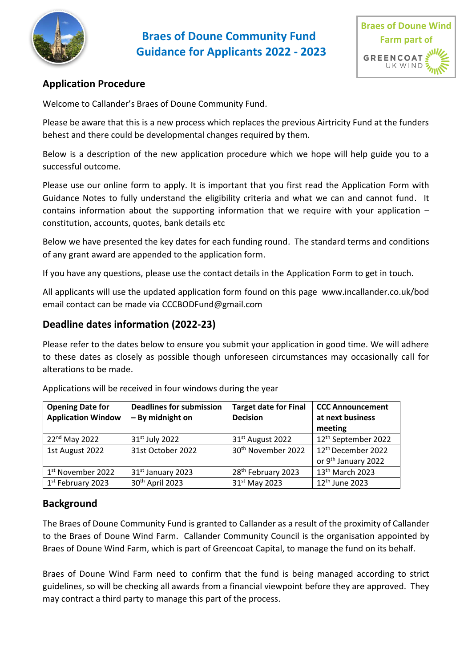



## **Application Procedure**

Welcome to Callander's Braes of Doune Community Fund.

Please be aware that this is a new process which replaces the previous Airtricity Fund at the funders behest and there could be developmental changes required by them.

Below is a description of the new application procedure which we hope will help guide you to a successful outcome.

Please use our online form to apply. It is important that you first read the Application Form with Guidance Notes to fully understand the eligibility criteria and what we can and cannot fund. It contains information about the supporting information that we require with your application – constitution, accounts, quotes, bank details etc

Below we have presented the key dates for each funding round. The standard terms and conditions of any grant award are appended to the application form.

If you have any questions, please use the contact details in the Application Form to get in touch.

All applicants will use the updated application form found on this page [www.incallander.co.uk/bod](http://www.incallander.co.uk/bod)  email contact can be made via CCCBODFund@gmail.com

### **Deadline dates information (2022-23)**

Please refer to the dates below to ensure you submit your application in good time. We will adhere to these dates as closely as possible though unforeseen circumstances may occasionally call for alterations to be made.

| <b>Opening Date for</b><br><b>Application Window</b> | <b>Deadlines for submission</b><br>- By midnight on | <b>Target date for Final</b><br><b>Decision</b> | <b>CCC Announcement</b><br>at next business |
|------------------------------------------------------|-----------------------------------------------------|-------------------------------------------------|---------------------------------------------|
|                                                      |                                                     |                                                 | meeting                                     |
| $22nd$ May 2022                                      | 31 <sup>st</sup> July 2022                          | 31 <sup>st</sup> August 2022                    | 12 <sup>th</sup> September 2022             |
| 1st August 2022                                      | 31st October 2022                                   | 30 <sup>th</sup> November 2022                  | 12 <sup>th</sup> December 2022              |
|                                                      |                                                     |                                                 | or 9 <sup>th</sup> January 2022             |
| 1 <sup>st</sup> November 2022                        | 31 <sup>st</sup> January 2023                       | 28 <sup>th</sup> February 2023                  | 13 <sup>th</sup> March 2023                 |
| 1 <sup>st</sup> February 2023                        | 30 <sup>th</sup> April 2023                         | 31 <sup>st</sup> May 2023                       | 12 <sup>th</sup> June 2023                  |

Applications will be received in four windows during the year

#### **Background**

The Braes of Doune Community Fund is granted to Callander as a result of the proximity of Callander to the Braes of Doune Wind Farm. Callander Community Council is the organisation appointed by Braes of Doune Wind Farm, which is part of Greencoat Capital, to manage the fund on its behalf.

Braes of Doune Wind Farm need to confirm that the fund is being managed according to strict guidelines, so will be checking all awards from a financial viewpoint before they are approved. They may contract a third party to manage this part of the process.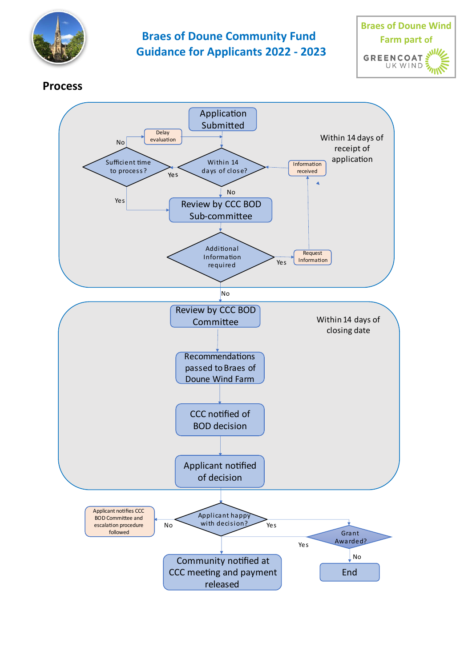



## **Process**

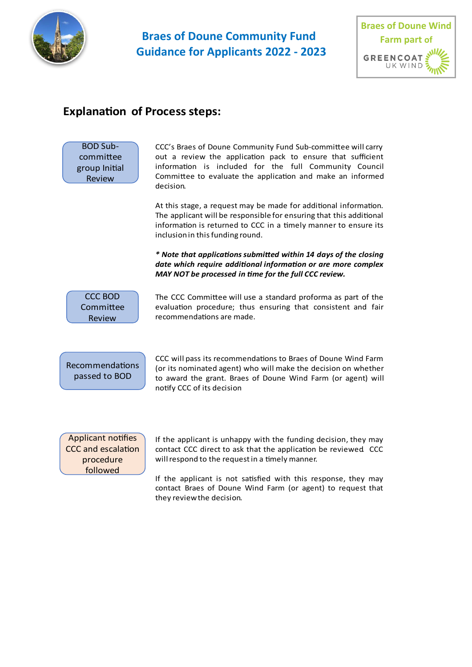



### **Explanation of Process steps:**



CCC's Braes of Doune Community Fund Sub-committee will carry out a review the application pack to ensure that sufficient information is included for the full Community Council Committee to evaluate the application and make an informed decision.

At this stage, a request may be made for additional information. The applicant will be responsible for ensuring that this additional information is returned to CCC in a timely manner to ensure its inclusion in this funding round.

 date which require additional information or are more complex **MAY NOT be processed in time for the full CCC review.** 



The CCC Committee will use a standard proforma as part of the evaluation procedure; thus ensuring that consistent and fair recommendations are made.



CCC will pass its recommendations to Braes of Doune Wind Farm (or its nominated agent) who will make the decision on whether to award the grant. Braes of Doune Wind Farm (or agent) will notify CCC of its decision

Applicant notifies CCC and escalation procedure followed

If the applicant is unhappy with the funding decision, they may contact CCC direct to ask that the application be reviewed CCC will respond to the request in a timely manner.

If the applicant is not satisfied with this response, they may contact Braes of Doune Wind Farm (or agent) to request that they review the decision.